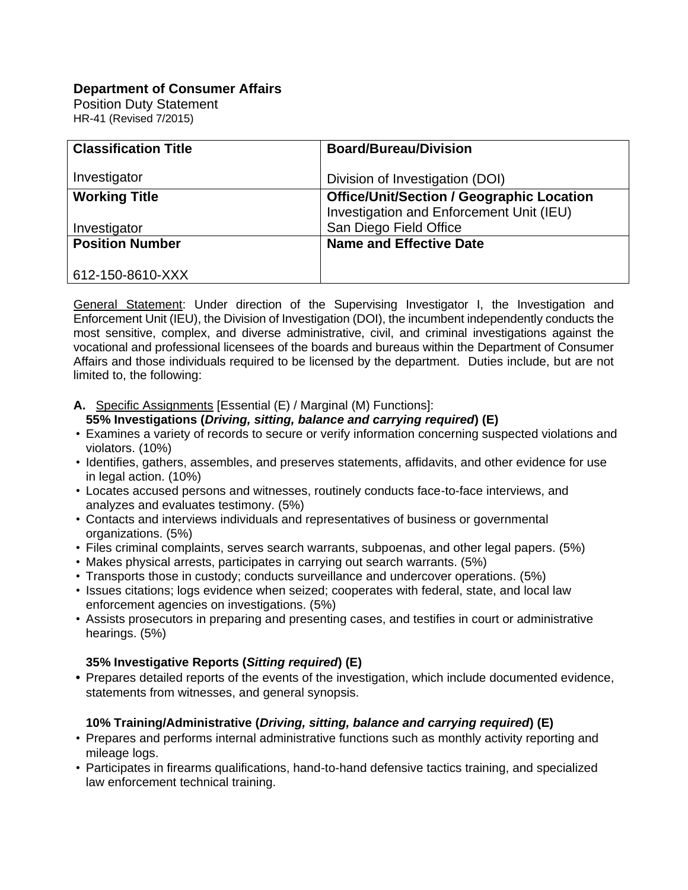# **Department of Consumer Affairs**

Position Duty Statement HR-41 (Revised 7/2015)

| <b>Classification Title</b> | <b>Board/Bureau/Division</b>                     |
|-----------------------------|--------------------------------------------------|
|                             |                                                  |
| Investigator                | Division of Investigation (DOI)                  |
| <b>Working Title</b>        | <b>Office/Unit/Section / Geographic Location</b> |
|                             | Investigation and Enforcement Unit (IEU)         |
| Investigator                | San Diego Field Office                           |
| <b>Position Number</b>      | <b>Name and Effective Date</b>                   |
|                             |                                                  |
| 612-150-8610-XXX            |                                                  |

General Statement: Under direction of the Supervising Investigator I, the Investigation and Enforcement Unit (IEU), the Division of Investigation (DOI), the incumbent independently conducts the most sensitive, complex, and diverse administrative, civil, and criminal investigations against the vocational and professional licensees of the boards and bureaus within the Department of Consumer Affairs and those individuals required to be licensed by the department. Duties include, but are not limited to, the following:

**A.** Specific Assignments [Essential (E) / Marginal (M) Functions]:

## **55% Investigations (***Driving, sitting, balance and carrying required***) (E)**

- Examines a variety of records to secure or verify information concerning suspected violations and violators. (10%)
- Identifies, gathers, assembles, and preserves statements, affidavits, and other evidence for use in legal action. (10%)
- Locates accused persons and witnesses, routinely conducts face-to-face interviews, and analyzes and evaluates testimony. (5%)
- Contacts and interviews individuals and representatives of business or governmental organizations. (5%)
- Files criminal complaints, serves search warrants, subpoenas, and other legal papers. (5%)
- Makes physical arrests, participates in carrying out search warrants. (5%)
- Transports those in custody; conducts surveillance and undercover operations. (5%)
- Issues citations; logs evidence when seized; cooperates with federal, state, and local law enforcement agencies on investigations. (5%)
- Assists prosecutors in preparing and presenting cases, and testifies in court or administrative hearings. (5%)

## **35% Investigative Reports (***Sitting required***) (E)**

**•** Prepares detailed reports of the events of the investigation, which include documented evidence, statements from witnesses, and general synopsis.

## **10% Training/Administrative (***Driving, sitting, balance and carrying required***) (E)**

- Prepares and performs internal administrative functions such as monthly activity reporting and mileage logs.
- Participates in firearms qualifications, hand-to-hand defensive tactics training, and specialized law enforcement technical training.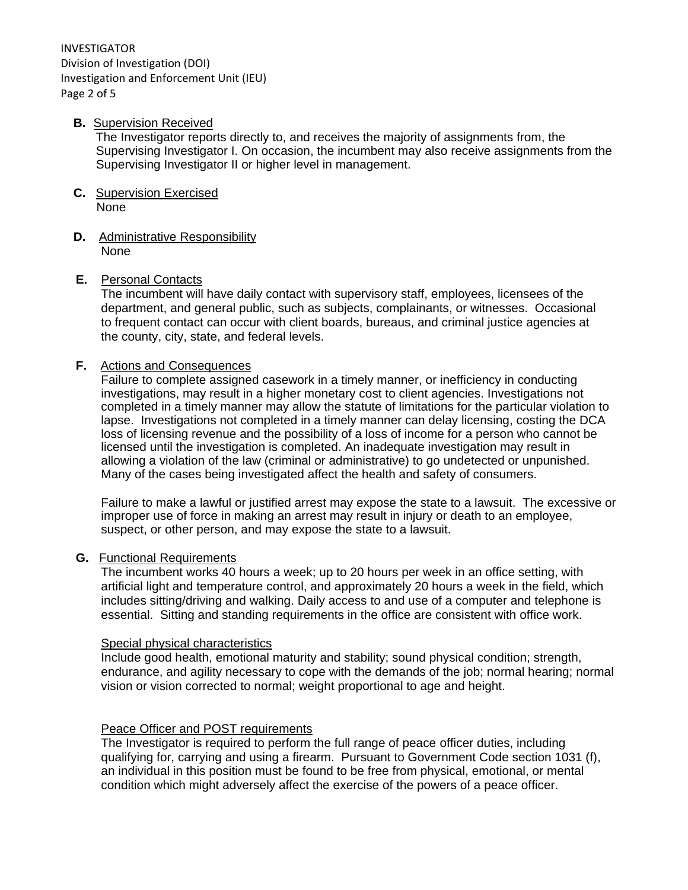INVESTIGATOR Division of Investigation (DOI) Investigation and Enforcement Unit (IEU) Page 2 of 5

#### **B.** Supervision Received

The Investigator reports directly to, and receives the majority of assignments from, the Supervising Investigator I. On occasion, the incumbent may also receive assignments from the Supervising Investigator II or higher level in management.

- **C.** Supervision Exercised None
- **D.** Administrative Responsibility None

#### **E.** Personal Contacts

The incumbent will have daily contact with supervisory staff, employees, licensees of the department, and general public, such as subjects, complainants, or witnesses. Occasional to frequent contact can occur with client boards, bureaus, and criminal justice agencies at the county, city, state, and federal levels.

#### **F.** Actions and Consequences

Failure to complete assigned casework in a timely manner, or inefficiency in conducting investigations, may result in a higher monetary cost to client agencies. Investigations not completed in a timely manner may allow the statute of limitations for the particular violation to lapse. Investigations not completed in a timely manner can delay licensing, costing the DCA loss of licensing revenue and the possibility of a loss of income for a person who cannot be licensed until the investigation is completed. An inadequate investigation may result in allowing a violation of the law (criminal or administrative) to go undetected or unpunished. Many of the cases being investigated affect the health and safety of consumers.

Failure to make a lawful or justified arrest may expose the state to a lawsuit. The excessive or improper use of force in making an arrest may result in injury or death to an employee, suspect, or other person, and may expose the state to a lawsuit.

#### **G.** Functional Requirements

The incumbent works 40 hours a week; up to 20 hours per week in an office setting, with artificial light and temperature control, and approximately 20 hours a week in the field, which includes sitting/driving and walking. Daily access to and use of a computer and telephone is essential. Sitting and standing requirements in the office are consistent with office work.

#### Special physical characteristics

Include good health, emotional maturity and stability; sound physical condition; strength, endurance, and agility necessary to cope with the demands of the job; normal hearing; normal vision or vision corrected to normal; weight proportional to age and height.

### Peace Officer and POST requirements

The Investigator is required to perform the full range of peace officer duties, including qualifying for, carrying and using a firearm. Pursuant to Government Code section 1031 (f), an individual in this position must be found to be free from physical, emotional, or mental condition which might adversely affect the exercise of the powers of a peace officer.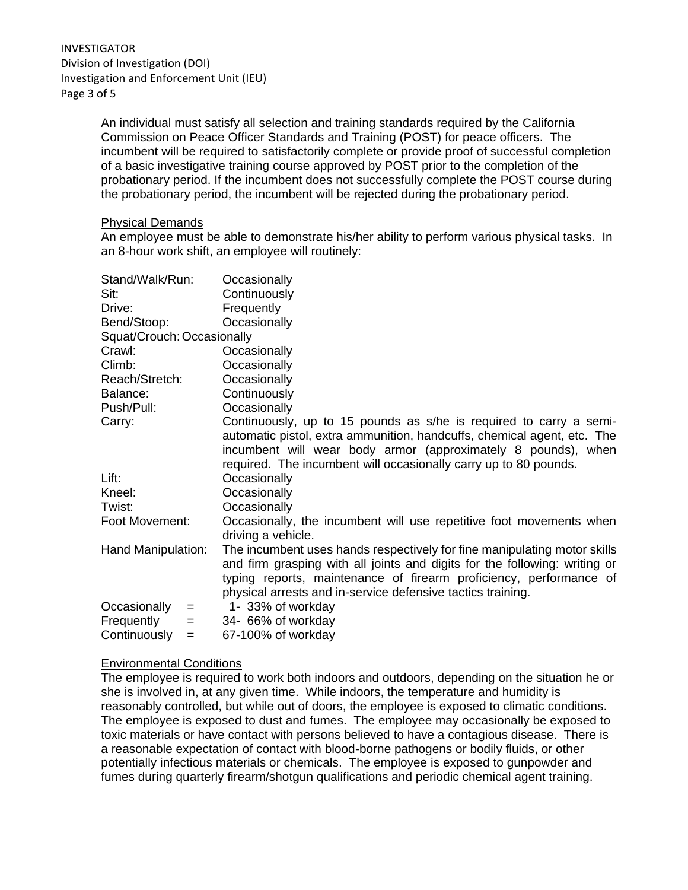An individual must satisfy all selection and training standards required by the California Commission on Peace Officer Standards and Training (POST) for peace officers. The incumbent will be required to satisfactorily complete or provide proof of successful completion of a basic investigative training course approved by POST prior to the completion of the probationary period. If the incumbent does not successfully complete the POST course during the probationary period, the incumbent will be rejected during the probationary period.

#### Physical Demands

An employee must be able to demonstrate his/her ability to perform various physical tasks. In an 8-hour work shift, an employee will routinely:

| Stand/Walk/Run:            |     | Occasionally                                                               |
|----------------------------|-----|----------------------------------------------------------------------------|
| Sit:                       |     | Continuously                                                               |
| Drive:                     |     | Frequently                                                                 |
| Bend/Stoop:                |     | Occasionally                                                               |
| Squat/Crouch: Occasionally |     |                                                                            |
| Crawl:                     |     | Occasionally                                                               |
| Climb:                     |     | Occasionally                                                               |
| Reach/Stretch:             |     | Occasionally                                                               |
| Balance:                   |     | Continuously                                                               |
| Push/Pull:                 |     | Occasionally                                                               |
| Carry:                     |     | Continuously, up to 15 pounds as s/he is required to carry a semi-         |
|                            |     | automatic pistol, extra ammunition, handcuffs, chemical agent, etc. The    |
|                            |     | incumbent will wear body armor (approximately 8 pounds), when              |
|                            |     | required. The incumbent will occasionally carry up to 80 pounds.           |
| Lift:                      |     | Occasionally                                                               |
| Kneel:                     |     | Occasionally                                                               |
| Twist:                     |     | Occasionally                                                               |
| Foot Movement:             |     | Occasionally, the incumbent will use repetitive foot movements when        |
|                            |     | driving a vehicle.                                                         |
| Hand Manipulation:         |     | The incumbent uses hands respectively for fine manipulating motor skills   |
|                            |     | and firm grasping with all joints and digits for the following: writing or |
|                            |     | typing reports, maintenance of firearm proficiency, performance of         |
|                            |     | physical arrests and in-service defensive tactics training.                |
| Occasionally               | $=$ | 1- 33% of workday                                                          |
| Frequently                 | $=$ | 34- 66% of workday                                                         |
| Continuously               | $=$ | 67-100% of workday                                                         |

### Environmental Conditions

The employee is required to work both indoors and outdoors, depending on the situation he or she is involved in, at any given time. While indoors, the temperature and humidity is reasonably controlled, but while out of doors, the employee is exposed to climatic conditions. The employee is exposed to dust and fumes. The employee may occasionally be exposed to toxic materials or have contact with persons believed to have a contagious disease. There is a reasonable expectation of contact with blood-borne pathogens or bodily fluids, or other potentially infectious materials or chemicals. The employee is exposed to gunpowder and fumes during quarterly firearm/shotgun qualifications and periodic chemical agent training.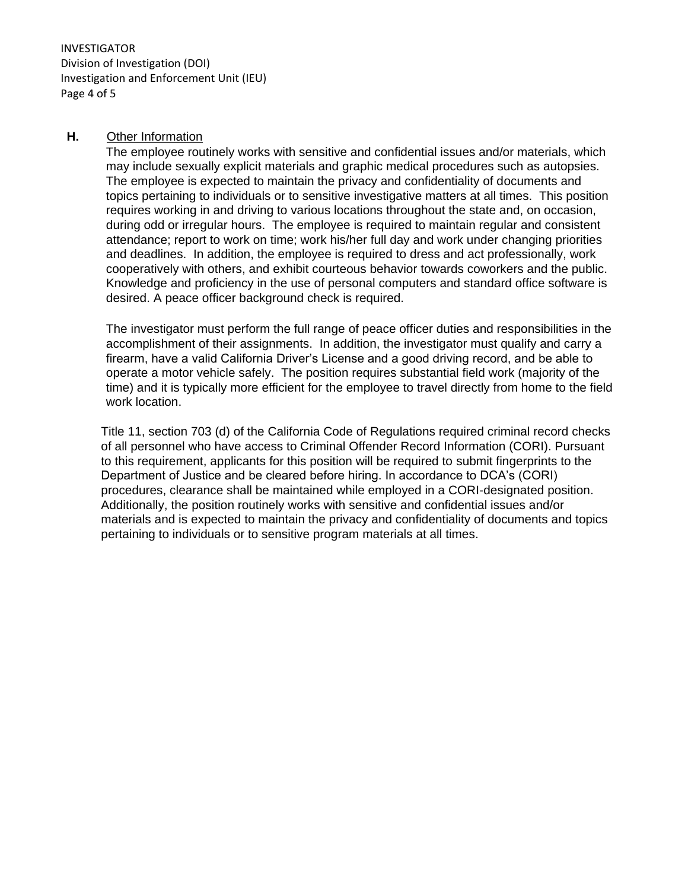INVESTIGATOR Division of Investigation (DOI) Investigation and Enforcement Unit (IEU) Page 4 of 5

### **H.** Other Information

The employee routinely works with sensitive and confidential issues and/or materials, which may include sexually explicit materials and graphic medical procedures such as autopsies. The employee is expected to maintain the privacy and confidentiality of documents and topics pertaining to individuals or to sensitive investigative matters at all times. This position requires working in and driving to various locations throughout the state and, on occasion, during odd or irregular hours. The employee is required to maintain regular and consistent attendance; report to work on time; work his/her full day and work under changing priorities and deadlines. In addition, the employee is required to dress and act professionally, work cooperatively with others, and exhibit courteous behavior towards coworkers and the public. Knowledge and proficiency in the use of personal computers and standard office software is desired. A peace officer background check is required.

The investigator must perform the full range of peace officer duties and responsibilities in the accomplishment of their assignments. In addition, the investigator must qualify and carry a firearm, have a valid California Driver's License and a good driving record, and be able to operate a motor vehicle safely. The position requires substantial field work (majority of the time) and it is typically more efficient for the employee to travel directly from home to the field work location.

Title 11, section 703 (d) of the California Code of Regulations required criminal record checks of all personnel who have access to Criminal Offender Record Information (CORI). Pursuant to this requirement, applicants for this position will be required to submit fingerprints to the Department of Justice and be cleared before hiring. In accordance to DCA's (CORI) procedures, clearance shall be maintained while employed in a CORI-designated position. Additionally, the position routinely works with sensitive and confidential issues and/or materials and is expected to maintain the privacy and confidentiality of documents and topics pertaining to individuals or to sensitive program materials at all times.